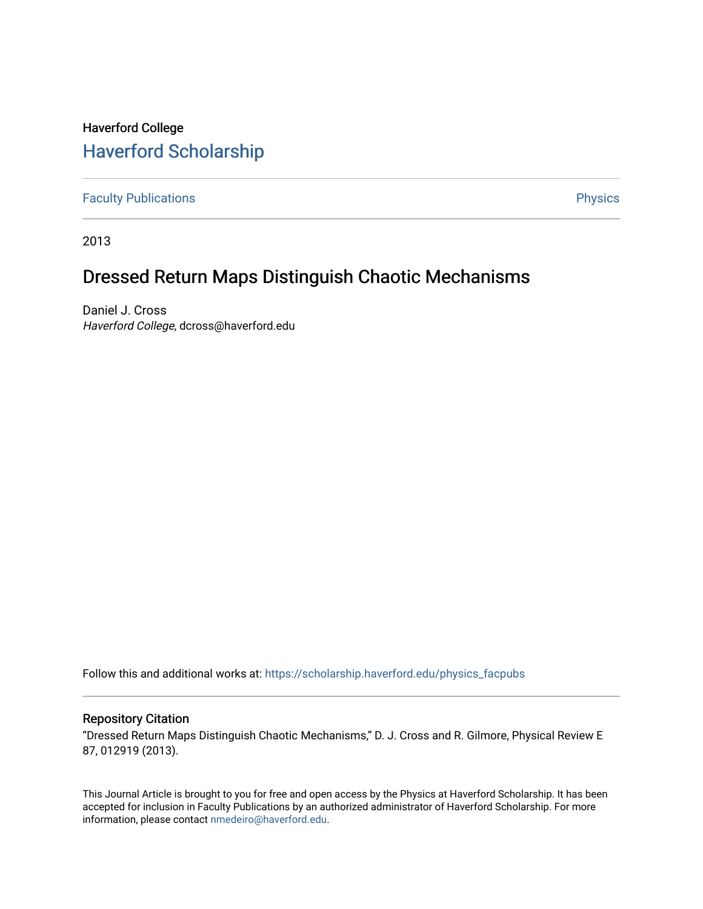# Haverford College [Haverford Scholarship](https://scholarship.haverford.edu/)

[Faculty Publications](https://scholarship.haverford.edu/physics_facpubs) **Physics** 

2013

# Dressed Return Maps Distinguish Chaotic Mechanisms

Daniel J. Cross Haverford College, dcross@haverford.edu

Follow this and additional works at: [https://scholarship.haverford.edu/physics\\_facpubs](https://scholarship.haverford.edu/physics_facpubs?utm_source=scholarship.haverford.edu%2Fphysics_facpubs%2F331&utm_medium=PDF&utm_campaign=PDFCoverPages) 

## Repository Citation

"Dressed Return Maps Distinguish Chaotic Mechanisms," D. J. Cross and R. Gilmore, Physical Review E 87, 012919 (2013).

This Journal Article is brought to you for free and open access by the Physics at Haverford Scholarship. It has been accepted for inclusion in Faculty Publications by an authorized administrator of Haverford Scholarship. For more information, please contact [nmedeiro@haverford.edu.](mailto:nmedeiro@haverford.edu)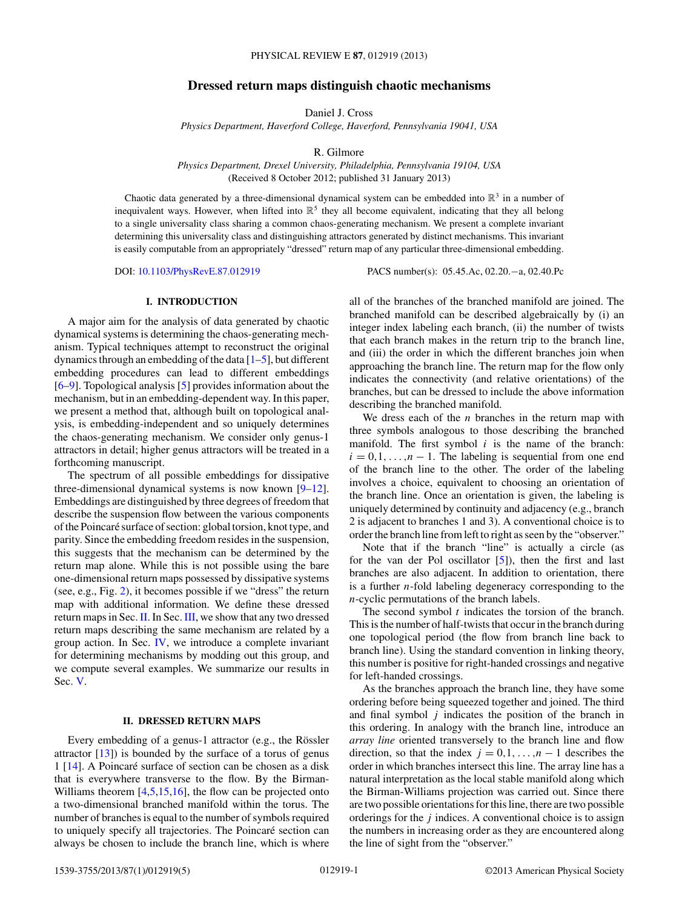## **Dressed return maps distinguish chaotic mechanisms**

Daniel J. Cross

*Physics Department, Haverford College, Haverford, Pennsylvania 19041, USA*

R. Gilmore

*Physics Department, Drexel University, Philadelphia, Pennsylvania 19104, USA* (Received 8 October 2012; published 31 January 2013)

Chaotic data generated by a three-dimensional dynamical system can be embedded into  $\mathbb{R}^3$  in a number of inequivalent ways. However, when lifted into  $\mathbb{R}^5$  they all become equivalent, indicating that they all belong to a single universality class sharing a common chaos-generating mechanism. We present a complete invariant determining this universality class and distinguishing attractors generated by distinct mechanisms. This invariant is easily computable from an appropriately "dressed" return map of any particular three-dimensional embedding.

DOI: [10.1103/PhysRevE.87.012919](http://dx.doi.org/10.1103/PhysRevE.87.012919) PACS number(s): 05*.*45*.*Ac, 02*.*20*.*−a, 02*.*40*.*Pc

#### **I. INTRODUCTION**

A major aim for the analysis of data generated by chaotic dynamical systems is determining the chaos-generating mechanism. Typical techniques attempt to reconstruct the original dynamics through an embedding of the data  $[1-5]$ , but different embedding procedures can lead to different embeddings [\[6–9\]](#page-5-0). Topological analysis [\[5\]](#page-5-0) provides information about the mechanism, but in an embedding-dependent way. In this paper, we present a method that, although built on topological analysis, is embedding-independent and so uniquely determines the chaos-generating mechanism. We consider only genus-1 attractors in detail; higher genus attractors will be treated in a forthcoming manuscript.

The spectrum of all possible embeddings for dissipative three-dimensional dynamical systems is now known [\[9–12\]](#page-5-0). Embeddings are distinguished by three degrees of freedom that describe the suspension flow between the various components of the Poincaré surface of section: global torsion, knot type, and parity. Since the embedding freedom resides in the suspension, this suggests that the mechanism can be determined by the return map alone. While this is not possible using the bare one-dimensional return maps possessed by dissipative systems (see, e.g., Fig. [2\)](#page-2-0), it becomes possible if we "dress" the return map with additional information. We define these dressed return maps in Sec. II. In Sec. [III,](#page-2-0) we show that any two dressed return maps describing the same mechanism are related by a group action. In Sec. [IV,](#page-3-0) we introduce a complete invariant for determining mechanisms by modding out this group, and we compute several examples. We summarize our results in Sec. [V.](#page-5-0)

### **II. DRESSED RETURN MAPS**

Every embedding of a genus-1 attractor (e.g., the Rössler attractor  $[13]$ ) is bounded by the surface of a torus of genus 1  $[14]$ . A Poincaré surface of section can be chosen as a disk that is everywhere transverse to the flow. By the Birman-Williams theorem [\[4,5,15,16\]](#page-5-0), the flow can be projected onto a two-dimensional branched manifold within the torus. The number of branches is equal to the number of symbols required to uniquely specify all trajectories. The Poincaré section can always be chosen to include the branch line, which is where

all of the branches of the branched manifold are joined. The branched manifold can be described algebraically by (i) an integer index labeling each branch, (ii) the number of twists that each branch makes in the return trip to the branch line, and (iii) the order in which the different branches join when approaching the branch line. The return map for the flow only indicates the connectivity (and relative orientations) of the branches, but can be dressed to include the above information describing the branched manifold.

We dress each of the *n* branches in the return map with three symbols analogous to those describing the branched manifold. The first symbol  $i$  is the name of the branch:  $i = 0, 1, \ldots, n - 1$ . The labeling is sequential from one end of the branch line to the other. The order of the labeling involves a choice, equivalent to choosing an orientation of the branch line. Once an orientation is given, the labeling is uniquely determined by continuity and adjacency (e.g., branch 2 is adjacent to branches 1 and 3). A conventional choice is to order the branch line from left to right as seen by the "observer."

Note that if the branch "line" is actually a circle (as for the van der Pol oscillator [\[5\]](#page-5-0)), then the first and last branches are also adjacent. In addition to orientation, there is a further *n*-fold labeling degeneracy corresponding to the *n*-cyclic permutations of the branch labels.

The second symbol *t* indicates the torsion of the branch. This is the number of half-twists that occur in the branch during one topological period (the flow from branch line back to branch line). Using the standard convention in linking theory, this number is positive for right-handed crossings and negative for left-handed crossings.

As the branches approach the branch line, they have some ordering before being squeezed together and joined. The third and final symbol *j* indicates the position of the branch in this ordering. In analogy with the branch line, introduce an *array line* oriented transversely to the branch line and flow direction, so that the index  $j = 0, 1, \ldots, n - 1$  describes the order in which branches intersect this line. The array line has a natural interpretation as the local stable manifold along which the Birman-Williams projection was carried out. Since there are two possible orientations for this line, there are two possible orderings for the *j* indices. A conventional choice is to assign the numbers in increasing order as they are encountered along the line of sight from the "observer."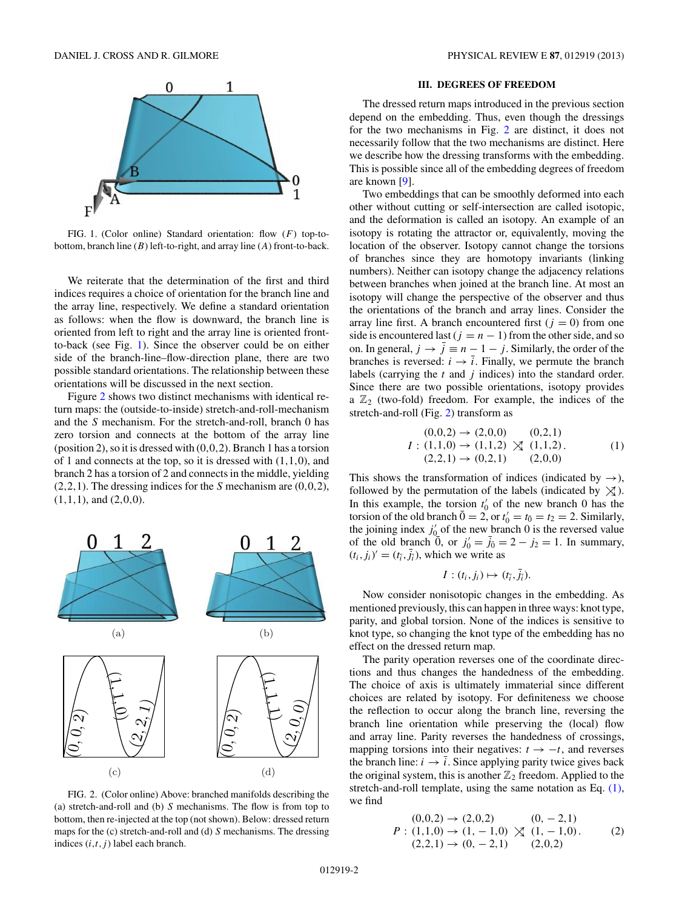<span id="page-2-0"></span>

FIG. 1. (Color online) Standard orientation: flow (*F*) top-tobottom, branch line (*B*) left-to-right, and array line (*A*) front-to-back.

We reiterate that the determination of the first and third indices requires a choice of orientation for the branch line and the array line, respectively. We define a standard orientation as follows: when the flow is downward, the branch line is oriented from left to right and the array line is oriented frontto-back (see Fig. 1). Since the observer could be on either side of the branch-line–flow-direction plane, there are two possible standard orientations. The relationship between these orientations will be discussed in the next section.

Figure 2 shows two distinct mechanisms with identical return maps: the (outside-to-inside) stretch-and-roll-mechanism and the *S* mechanism. For the stretch-and-roll, branch 0 has zero torsion and connects at the bottom of the array line (position 2), so it is dressed with (0*,*0*,*2). Branch 1 has a torsion of 1 and connects at the top, so it is dressed with (1*,*1*,*0), and branch 2 has a torsion of 2 and connects in the middle, yielding (2*,*2*,*1). The dressing indices for the *S* mechanism are (0*,*0*,*2), (1*,*1*,*1), and (2*,*0*,*0).



FIG. 2. (Color online) Above: branched manifolds describing the (a) stretch-and-roll and (b) *S* mechanisms. The flow is from top to bottom, then re-injected at the top (not shown). Below: dressed return maps for the (c) stretch-and-roll and (d) *S* mechanisms. The dressing indices  $(i, t, j)$  label each branch.

#### **III. DEGREES OF FREEDOM**

The dressed return maps introduced in the previous section depend on the embedding. Thus, even though the dressings for the two mechanisms in Fig. 2 are distinct, it does not necessarily follow that the two mechanisms are distinct. Here we describe how the dressing transforms with the embedding. This is possible since all of the embedding degrees of freedom are known [\[9\]](#page-5-0).

Two embeddings that can be smoothly deformed into each other without cutting or self-intersection are called isotopic, and the deformation is called an isotopy. An example of an isotopy is rotating the attractor or, equivalently, moving the location of the observer. Isotopy cannot change the torsions of branches since they are homotopy invariants (linking numbers). Neither can isotopy change the adjacency relations between branches when joined at the branch line. At most an isotopy will change the perspective of the observer and thus the orientations of the branch and array lines. Consider the array line first. A branch encountered first  $(j = 0)$  from one side is encountered last  $(j = n - 1)$  from the other side, and so on. In general,  $j \rightarrow \overline{j} \equiv n - 1 - j$ . Similarly, the order of the branches is reversed:  $i \rightarrow \overline{i}$ . Finally, we permute the branch labels (carrying the *t* and *j* indices) into the standard order. Since there are two possible orientations, isotopy provides a  $\mathbb{Z}_2$  (two-fold) freedom. For example, the indices of the stretch-and-roll (Fig. 2) transform as

$$
(0,0,2) \rightarrow (2,0,0) \qquad (0,2,1)
$$
  
\n
$$
I: (1,1,0) \rightarrow (1,1,2) \times (1,1,2). \qquad (1)
$$
  
\n
$$
(2,2,1) \rightarrow (0,2,1) \qquad (2,0,0)
$$

This shows the transformation of indices (indicated by  $\rightarrow$ ), followed by the permutation of the labels (indicated by  $\chi$ ). In this example, the torsion  $t'_0$  of the new branch 0 has the torsion of the old branch  $\bar{0} = 2$ , or  $t'_0 = t_{\bar{0}} = t_2 = 2$ . Similarly, the joining index  $j'_0$  of the new branch 0 is the reversed value of the old branch  $\overline{0}$ , or  $j'_0 = \overline{j}_0 = 2 - j_2 = 1$ . In summary,  $(t_i, j_i)' = (t_{\bar{i}}, \bar{j}_{\bar{i}})$ , which we write as

$$
I:(t_i,j_i)\mapsto (t_{\overline{i}},\overline{j}_{\overline{i}}).
$$

Now consider nonisotopic changes in the embedding. As mentioned previously, this can happen in three ways: knot type, parity, and global torsion. None of the indices is sensitive to knot type, so changing the knot type of the embedding has no effect on the dressed return map.

The parity operation reverses one of the coordinate directions and thus changes the handedness of the embedding. The choice of axis is ultimately immaterial since different choices are related by isotopy. For definiteness we choose the reflection to occur along the branch line, reversing the branch line orientation while preserving the (local) flow and array line. Parity reverses the handedness of crossings, mapping torsions into their negatives:  $t \rightarrow -t$ , and reverses the branch line:  $i \rightarrow \overline{i}$ . Since applying parity twice gives back the original system, this is another  $\mathbb{Z}_2$  freedom. Applied to the stretch-and-roll template, using the same notation as Eq. (1), we find

$$
(0,0,2) \rightarrow (2,0,2) \qquad (0,-2,1)
$$
  
\n
$$
P: (1,1,0) \rightarrow (1,-1,0) \times (1,-1,0). \qquad (2)
$$
  
\n
$$
(2,2,1) \rightarrow (0,-2,1) \qquad (2,0,2)
$$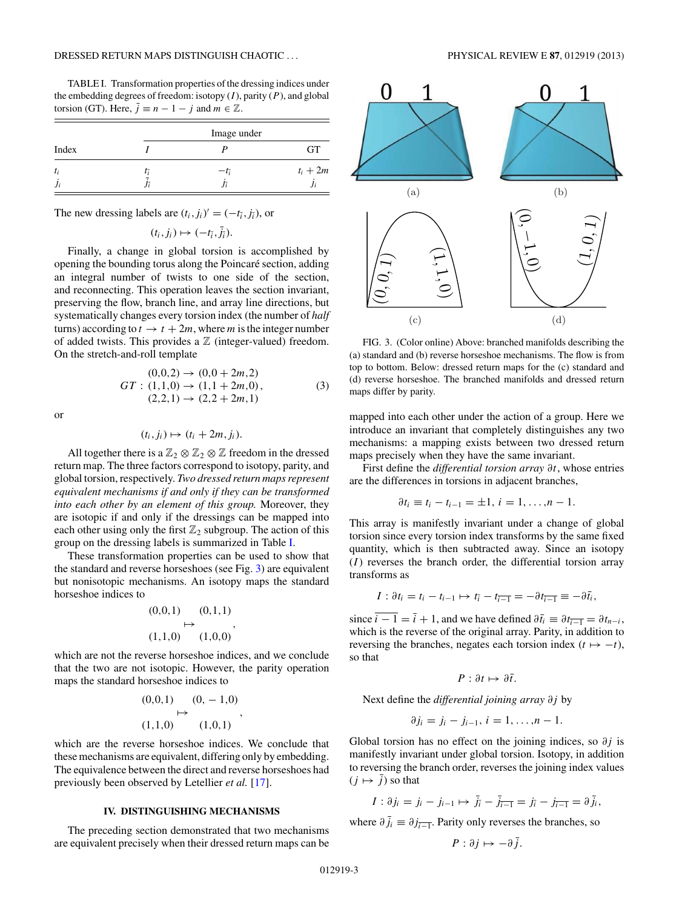<span id="page-3-0"></span>TABLE I. Transformation properties of the dressing indices under the embedding degrees of freedom: isotopy (*I* ), parity (*P*), and global torsion (GT). Here,  $\bar{j} \equiv n - 1 - j$  and  $m \in \mathbb{Z}$ .

| Index | Image under |        |            |
|-------|-------------|--------|------------|
|       |             |        | €ŤF        |
| $t_i$ |             | $-t$ : | $t_i + 2m$ |
|       |             |        |            |

The new dressing labels are  $(t_i, j_i)' = (-t_{\bar{i}}, j_{\bar{i}})$ , or

$$
(t_i,j_i)\mapsto (-t_{\overline{i}},\overline{j}_{\overline{i}}).
$$

Finally, a change in global torsion is accomplished by opening the bounding torus along the Poincaré section, adding an integral number of twists to one side of the section, and reconnecting. This operation leaves the section invariant, preserving the flow, branch line, and array line directions, but systematically changes every torsion index (the number of *half* turns) according to  $t \to t + 2m$ , where *m* is the integer number of added twists. This provides a  $Z$  (integer-valued) freedom. On the stretch-and-roll template

$$
(0,0,2) \rightarrow (0,0+2m,2)
$$
  
\n
$$
GT: (1,1,0) \rightarrow (1,1+2m,0),
$$
  
\n
$$
(2,2,1) \rightarrow (2,2+2m,1)
$$
\n(3)

or

$$
(t_i,j_i)\mapsto (t_i+2m,j_i).
$$

All together there is a  $\mathbb{Z}_2 \otimes \mathbb{Z}_2 \otimes \mathbb{Z}$  freedom in the dressed return map. The three factors correspond to isotopy, parity, and global torsion, respectively. *Two dressed return maps represent equivalent mechanisms if and only if they can be transformed into each other by an element of this group.* Moreover, they are isotopic if and only if the dressings can be mapped into each other using only the first  $\mathbb{Z}_2$  subgroup. The action of this group on the dressing labels is summarized in Table I.

These transformation properties can be used to show that the standard and reverse horseshoes (see Fig. 3) are equivalent but nonisotopic mechanisms. An isotopy maps the standard horseshoe indices to

$$
(0,0,1) \qquad (0,1,1)
$$
  

$$
\mapsto \qquad (1,1,0)
$$
  

$$
(1,0,0)
$$

which are not the reverse horseshoe indices, and we conclude that the two are not isotopic. However, the parity operation maps the standard horseshoe indices to

$$
(0,0,1) \qquad (0,-1,0)
$$
  

$$
\mapsto (1,1,0) \qquad (1,0,1)
$$

which are the reverse horseshoe indices. We conclude that these mechanisms are equivalent, differing only by embedding. The equivalence between the direct and reverse horseshoes had previously been observed by Letellier *et al.* [\[17\]](#page-5-0).

#### **IV. DISTINGUISHING MECHANISMS**

The preceding section demonstrated that two mechanisms are equivalent precisely when their dressed return maps can be



FIG. 3. (Color online) Above: branched manifolds describing the (a) standard and (b) reverse horseshoe mechanisms. The flow is from top to bottom. Below: dressed return maps for the (c) standard and (d) reverse horseshoe. The branched manifolds and dressed return maps differ by parity.

mapped into each other under the action of a group. Here we introduce an invariant that completely distinguishes any two mechanisms: a mapping exists between two dressed return maps precisely when they have the same invariant.

First define the *differential torsion array ∂t*, whose entries are the differences in torsions in adjacent branches,

$$
\partial t_i \equiv t_i - t_{i-1} = \pm 1, \, i = 1, \ldots, n-1.
$$

This array is manifestly invariant under a change of global torsion since every torsion index transforms by the same fixed quantity, which is then subtracted away. Since an isotopy (*I* ) reverses the branch order, the differential torsion array transforms as

$$
I: \partial t_i = t_i - t_{i-1} \mapsto t_{\overline{i}} - t_{\overline{i-1}} = -\partial t_{\overline{i-1}} \equiv -\partial \overline{t}_i,
$$

since  $\overline{i-1} = \overline{i} + 1$ , and we have defined  $\partial \overline{t_i} \equiv \partial t_{\overline{i-1}} = \partial t_{n-i}$ , which is the reverse of the original array. Parity, in addition to reversing the branches, negates each torsion index  $(t \mapsto -t)$ , so that

$$
P: \partial t \mapsto \partial \overline{t}.
$$

Next define the *differential joining array ∂j* by

$$
\partial j_i = j_i - j_{i-1}, i = 1, ..., n - 1.
$$

Global torsion has no effect on the joining indices, so *∂j* is manifestly invariant under global torsion. Isotopy, in addition to reversing the branch order, reverses the joining index values  $(j \mapsto \overline{j})$  so that

$$
I: \partial j_i = j_i - j_{i-1} \mapsto \bar{j}_i - \bar{j}_{\bar{i}-1} = j_{\bar{i}} - j_{\bar{i}-1} = \partial \bar{j}_i,
$$

where  $\partial \bar{j}_i \equiv \partial j_{\bar{i}-1}$ . Parity only reverses the branches, so

$$
P: \partial j \mapsto -\partial \overline{j}.
$$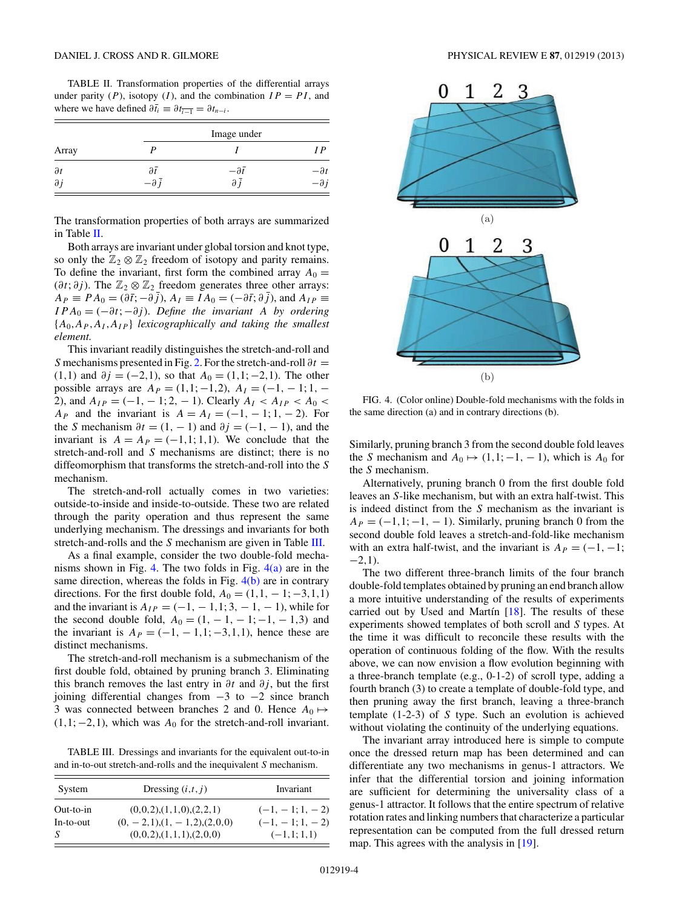TABLE II. Transformation properties of the differential arrays under parity (*P*), isotopy (*I*), and the combination  $IP = PI$ , and where we have defined  $\partial \bar{t}_i \equiv \partial t_{\overline{i-1}} = \partial t_{n-i}$ .

| Array        | Image under |                     |               |
|--------------|-------------|---------------------|---------------|
|              |             |                     | I P           |
| $\partial t$ | дī          | $-\partial \bar{t}$ | $-\partial t$ |
| $\partial j$ | $-\partial$ | $\partial i$        | $-\sigma$     |

The transformation properties of both arrays are summarized in Table II.

Both arrays are invariant under global torsion and knot type, so only the  $\mathbb{Z}_2 \otimes \mathbb{Z}_2$  freedom of isotopy and parity remains. To define the invariant, first form the combined array  $A_0 =$  $(\partial t; \partial j)$ . The  $\mathbb{Z}_2 \otimes \mathbb{Z}_2$  freedom generates three other arrays:  $A_P \equiv PA_0 = (\partial \overline{t}; -\partial \overline{f}), A_I \equiv I\overline{A_0} = (-\partial \overline{t}; \partial \overline{f})$ , and  $A_{IP} \equiv$  $IPA_0 = (-\partial t; -\partial j)$ . *Define the invariant A by ordering* {*A*0*,AP ,AI ,AIP* } *lexicographically and taking the smallest element.*

This invariant readily distinguishes the stretch-and-roll and *S* mechanisms presented in Fig. [2.](#page-2-0) For the stretch-and-roll *∂t* = (1*,*1) and  $\partial j = (-2,1)$ , so that  $A_0 = (1,1; -2,1)$ . The other possible arrays are  $A_P = (1,1;-1,2), A_I = (-1,-1;1,-1)$ 2), and  $A_{IP} = (-1, -1; 2, -1)$ . Clearly  $A_I < A_{IP} < A_0 <$ *A<sub>P</sub>* and the invariant is  $A = A_I = (-1, -1, 1, -2)$ . For the *S* mechanism  $\partial t = (1, -1)$  and  $\partial j = (-1, -1)$ , and the invariant is  $A = A_P = (-1,1;1,1)$ . We conclude that the stretch-and-roll and *S* mechanisms are distinct; there is no diffeomorphism that transforms the stretch-and-roll into the *S* mechanism.

The stretch-and-roll actually comes in two varieties: outside-to-inside and inside-to-outside. These two are related through the parity operation and thus represent the same underlying mechanism. The dressings and invariants for both stretch-and-rolls and the *S* mechanism are given in Table III.

As a final example, consider the two double-fold mechanisms shown in Fig. 4. The two folds in Fig.  $4(a)$  are in the same direction, whereas the folds in Fig.  $4(b)$  are in contrary directions. For the first double fold,  $A_0 = (1, 1, -1, -3, 1, 1)$ and the invariant is  $A_{IP} = (-1, -1, 1; 3, -1, -1)$ , while for the second double fold,  $A_0 = (1, -1, -1, -1, -1, 3)$  and the invariant is  $A_P = (-1, -1, 1; -3, 1, 1)$ , hence these are distinct mechanisms.

The stretch-and-roll mechanism is a submechanism of the first double fold, obtained by pruning branch 3. Eliminating this branch removes the last entry in  $\partial t$  and  $\partial j$ , but the first joining differential changes from −3 to −2 since branch 3 was connected between branches 2 and 0. Hence  $A_0 \mapsto$  $(1,1; -2,1)$ , which was  $A_0$  for the stretch-and-roll invariant.

TABLE III. Dressings and invariants for the equivalent out-to-in and in-to-out stretch-and-rolls and the inequivalent *S* mechanism.

| System      | Dressing $(i, t, j)$                | Invariant         |
|-------------|-------------------------------------|-------------------|
| $Out-to-in$ | (0,0,2),(1,1,0),(2,2,1)             | $(-1, -1; 1, -2)$ |
| In-to-out   | $(0, -2, 1), (1, -1, 2), (2, 0, 0)$ | $(-1, -1; 1, -2)$ |
| S           | (0,0,2),(1,1,1),(2,0,0)             | $(-1,1;1,1)$      |



FIG. 4. (Color online) Double-fold mechanisms with the folds in the same direction (a) and in contrary directions (b).

Similarly, pruning branch 3 from the second double fold leaves the *S* mechanism and  $A_0 \mapsto (1,1;-1,-1)$ , which is  $A_0$  for the *S* mechanism.

Alternatively, pruning branch 0 from the first double fold leaves an *S*-like mechanism, but with an extra half-twist. This is indeed distinct from the *S* mechanism as the invariant is  $A_P = (-1,1;-1,-1)$ . Similarly, pruning branch 0 from the second double fold leaves a stretch-and-fold-like mechanism with an extra half-twist, and the invariant is  $A_P = (-1, -1;$ −2*,*1).

The two different three-branch limits of the four branch double-fold templates obtained by pruning an end branch allow a more intuitive understanding of the results of experiments carried out by Used and Martín  $[18]$ . The results of these experiments showed templates of both scroll and *S* types. At the time it was difficult to reconcile these results with the operation of continuous folding of the flow. With the results above, we can now envision a flow evolution beginning with a three-branch template (e.g., 0-1-2) of scroll type, adding a fourth branch (3) to create a template of double-fold type, and then pruning away the first branch, leaving a three-branch template (1-2-3) of *S* type. Such an evolution is achieved without violating the continuity of the underlying equations.

The invariant array introduced here is simple to compute once the dressed return map has been determined and can differentiate any two mechanisms in genus-1 attractors. We infer that the differential torsion and joining information are sufficient for determining the universality class of a genus-1 attractor. It follows that the entire spectrum of relative rotation rates and linking numbers that characterize a particular representation can be computed from the full dressed return map. This agrees with the analysis in [\[19\]](#page-5-0).